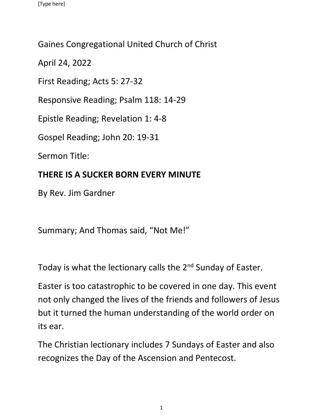## Gaines Congregational United Church of Christ

April 24, 2022

First Reading; Acts 5: 27-32

Responsive Reading; Psalm 118: 14-29

Epistle Reading; Revelation 1: 4-8

Gospel Reading; John 20: 19-31

Sermon Title:

## **THERE IS A SUCKER BORN EVERY MINUTE**

By Rev. Jim Gardner

Summary; And Thomas said, "Not Me!"

Today is what the lectionary calls the 2<sup>nd</sup> Sunday of Easter.

Easter is too catastrophic to be covered in one day. This event not only changed the lives of the friends and followers of Jesus but it turned the human understanding of the world order on its ear.

The Christian lectionary includes 7 Sundays of Easter and also recognizes the Day of the Ascension and Pentecost.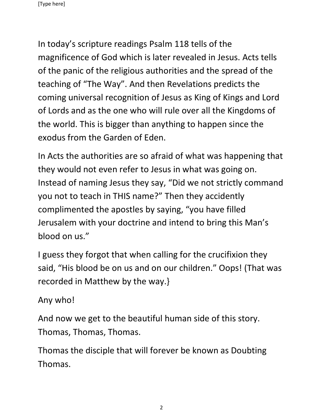In today's scripture readings Psalm 118 tells of the magnificence of God which is later revealed in Jesus. Acts tells of the panic of the religious authorities and the spread of the teaching of "The Way". And then Revelations predicts the coming universal recognition of Jesus as King of Kings and Lord of Lords and as the one who will rule over all the Kingdoms of the world. This is bigger than anything to happen since the exodus from the Garden of Eden.

In Acts the authorities are so afraid of what was happening that they would not even refer to Jesus in what was going on. Instead of naming Jesus they say, "Did we not strictly command you not to teach in THIS name?" Then they accidently complimented the apostles by saying, "you have filled Jerusalem with your doctrine and intend to bring this Man's blood on us."

I guess they forgot that when calling for the crucifixion they said, "His blood be on us and on our children." Oops! (That was recorded in Matthew by the way.}

Any who!

And now we get to the beautiful human side of this story. Thomas, Thomas, Thomas.

Thomas the disciple that will forever be known as Doubting Thomas.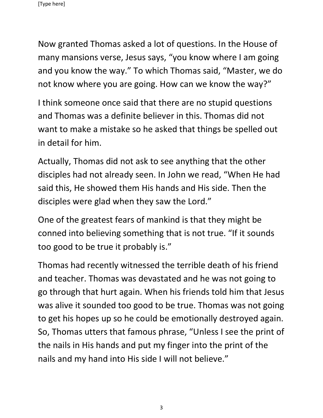Now granted Thomas asked a lot of questions. In the House of many mansions verse, Jesus says, "you know where I am going and you know the way." To which Thomas said, "Master, we do not know where you are going. How can we know the way?"

I think someone once said that there are no stupid questions and Thomas was a definite believer in this. Thomas did not want to make a mistake so he asked that things be spelled out in detail for him.

Actually, Thomas did not ask to see anything that the other disciples had not already seen. In John we read, "When He had said this, He showed them His hands and His side. Then the disciples were glad when they saw the Lord."

One of the greatest fears of mankind is that they might be conned into believing something that is not true. "If it sounds too good to be true it probably is."

Thomas had recently witnessed the terrible death of his friend and teacher. Thomas was devastated and he was not going to go through that hurt again. When his friends told him that Jesus was alive it sounded too good to be true. Thomas was not going to get his hopes up so he could be emotionally destroyed again. So, Thomas utters that famous phrase, "Unless I see the print of the nails in His hands and put my finger into the print of the nails and my hand into His side I will not believe."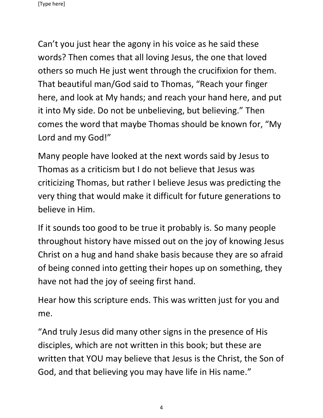Can't you just hear the agony in his voice as he said these words? Then comes that all loving Jesus, the one that loved others so much He just went through the crucifixion for them. That beautiful man/God said to Thomas, "Reach your finger here, and look at My hands; and reach your hand here, and put it into My side. Do not be unbelieving, but believing." Then comes the word that maybe Thomas should be known for, "My Lord and my God!"

Many people have looked at the next words said by Jesus to Thomas as a criticism but I do not believe that Jesus was criticizing Thomas, but rather I believe Jesus was predicting the very thing that would make it difficult for future generations to believe in Him.

If it sounds too good to be true it probably is. So many people throughout history have missed out on the joy of knowing Jesus Christ on a hug and hand shake basis because they are so afraid of being conned into getting their hopes up on something, they have not had the joy of seeing first hand.

Hear how this scripture ends. This was written just for you and me.

"And truly Jesus did many other signs in the presence of His disciples, which are not written in this book; but these are written that YOU may believe that Jesus is the Christ, the Son of God, and that believing you may have life in His name."